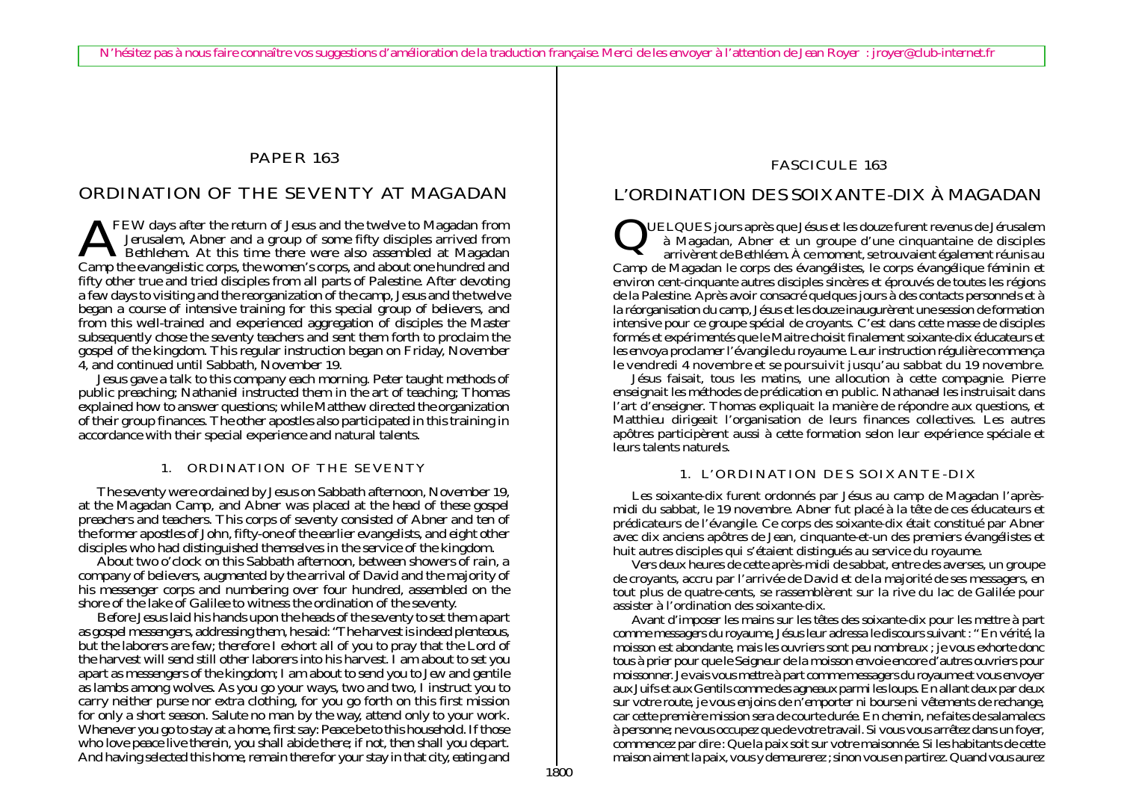# PAPER 163

# ORDINATION OF THE SEVENTY AT MAGADAN

FEW days after the return of Jesus and the twelve to Magadan from Jerusalem, Abner and a group of some fifty disciples arrived from FEW days after the return of Jesus and the twelve to Magadan from Jerusalem, Abner and a group of some fifty disciples arrived from Bethlehem. At this time there were also assembled at Magadan Camp the evangelistic corps, the women's corps, and about one hundred and fifty other true and tried disciples from all parts of Palestine. After devoting a few days to visiting and the reorganization of the camp, Jesus and the twelve began a course of intensive training for this special group of believers, and from this well-trained and experienced aggregation of disciples the Master subsequently chose the seventy teachers and sent them forth to proclaim the gospel of the kingdom. This regular instruction began on Friday, November 4, and continued until Sabbath, November 19.

Jesus gave a talk to this company each morning. Peter taught methods of public preaching; Nathaniel instructed them in the art of teaching; Thomas explained how to answer questions; while Matthew directed the organization of their group finances. The other apostles also participated in this training in accordance with their special experience and natural talents.

## 1. ORDINATION OF THE SEVENTY

The seventy were ordained by Jesus on Sabbath afternoon, November 19, at the Magadan Camp, and Abner was placed at the head of these gospel preachers and teachers. This corps of seventy consisted of Abner and ten of the former apostles of John, fifty-one of the earlier evangelists, and eight other disciples who had distinguished themselves in the service of the kingdom.

About two o'clock on this Sabbath afternoon, between showers of rain, a company of believers, augmented by the arrival of David and the majority of his messenger corps and numbering over four hundred, assembled on the shore of the lake of Galilee to witness the ordination of the seventy.

Before Jesus laid his hands upon the heads of the seventy to set them apart as gospel messengers, addressing them, he said: "The harvest is indeed plenteous, but the laborers are few; therefore I exhort all of you to pray that the Lord of the harvest will send still other laborers into his harvest. I am about to set you apart as messengers of the kingdom; I am about to send you to Jew and gentile as lambs among wolves. As you go your ways, two and two, I instruct you to carry neither purse nor extra clothing, for you go forth on this first mission for only a short season. Salute no man by the way, attend only to your work. Whenever you go to stay at a home, first say: Peace be to this household. If those who love peace live therein, you shall abide there; if not, then shall you depart. And having selected this home, remain there for your stay in that city, eating and

# FASCICULE 163

# L'ORDINATION DES SOIXANTE-DIX À MAGADAN

UELQUES jours après que Jésus et les douze furent revenus de Jérusalem<br>
à Magadan, Abner et un groupe d'une cinquantaine de disciples<br>
arrivèrent de Bethléem. À ce moment, se trouvaient également réunis au à Magadan, Abner et un groupe d'une cinquantaine de disciples arrivèrent de Bethléem. À ce moment, se trouvaient également réunis au Camp de Magadan le corps des évangélistes, le corps évangélique féminin et environ cent-cinquante autres disciples sincères et éprouvés de toutes les régions de la Palestine. Après avoir consacré quelques jours à des contacts personnels et à la réorganisation du camp, Jésus et les douze inaugurèrent une session de formation intensive pour ce groupe spécial de croyants. C'est dans cette masse de disciples formés et expérimentés que le Maitre choisit finalement soixante-dix éducateurs et les envoya proclamer l'évangile du royaume. Leur instruction régulière commença le vendredi 4 novembre et se poursuivit jusqu'au sabbat du 19 novembre.

Jésus faisait, tous les matins, une allocution à cette compagnie. Pierre enseignait les méthodes de prédication en public. Nathanael les instruisait dans l'art d'enseigner. Thomas expliquait la manière de répondre aux questions, et Matthieu dirigeait l'organisation de leurs finances collectives. Les autres apôtres participèrent aussi à cette formation selon leur expérience spéciale et leurs talents naturels.

### 1. L'ORDINATION DES SOIXANTE-DIX

Les soixante-dix furent ordonnés par Jésus au camp de Magadan l'aprèsmidi du sabbat, le 19 novembre. Abner fut placé à la tête de ces éducateurs et prédicateurs de l'évangile. Ce corps des soixante-dix était constitué par Abner avec dix anciens apôtres de Jean, cinquante-et-un des premiers évangélistes et huit autres disciples qui s'étaient distingués au service du royaume.

Vers deux heures de cette après-midi de sabbat, entre des averses, un groupe de croyants, accru par l'arrivée de David et de la majorité de ses messagers, en tout plus de quatre-cents, se rassemblèrent sur la rive du lac de Galilée pour assister à l'ordination des soixante-dix.

Avant d'imposer les mains sur les têtes des soixante-dix pour les mettre à part comme messagers du royaume, Jésus leur adressa le discours suivant : " En vérité, la moisson est abondante, mais les ouvriers sont peu nombreux ; je vous exhorte donc tous à prier pour que le Seigneur de la moisson envoie encore d'autres ouvriers pour moissonner. Je vais vous mettre à part comme messagers du royaume et vous envoyer aux Juifs et aux Gentils comme des agneaux parmi les loups. En allant deux par deux sur votre route, je vous enjoins de n'emporter ni bourse ni vêtements de rechange, car cette première mission sera de courte durée. En chemin, ne faites de salamalecs à personne; ne vous occupez que de votre travail. Si vous vous arrêtez dans un foyer, commencez par dire : Que la paix soit sur votre maisonnée. Si les habitants de cette maison aiment la paix, vous y demeurerez ; sinon vous en partirez. Quand vous aurez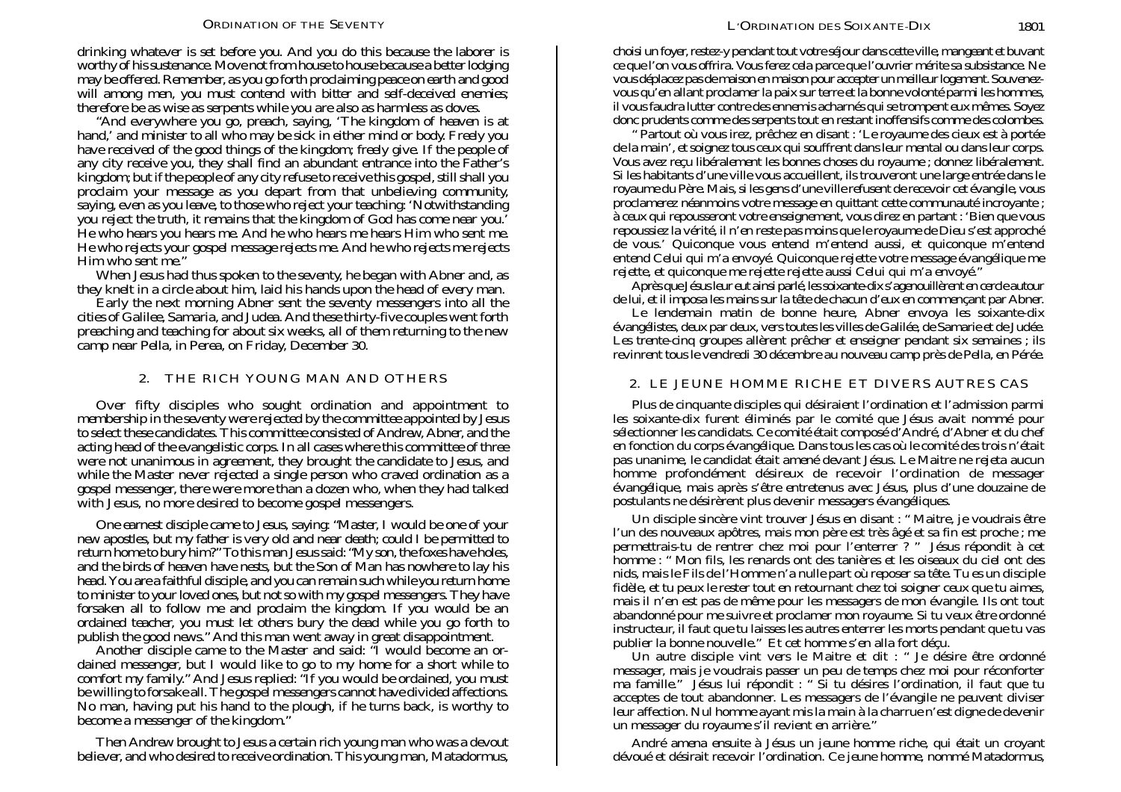#### L'ORDINATION DES SOIXANTE-

#### ORDINATION OF THE SEVENTY

drinking whatever is set before you. And you do this because the laborer is worthy of his sustenance. Move not from house to house because a better lodging may be offered. Remember, as you go forth proclaiming peace on earth and good will among men, you must contend with bitter and self-deceived enemies: therefore be as wise as serpents while you are also as harmless as doves.

"And everywhere you go, preach, saying, 'The kingdom of heaven is at hand,' and minister to all who may be sick in either mind or body. Freely you have received of the good things of the kingdom; freely give. If the people of any city receive you, they shall find an abundant entrance into the Father's kingdom; but if the people of any city refuse to receive this gospel, still shall you proclaim your message as you depart from that unbelieving community, saying, even as you leave, to those who reject your teaching: 'Notwithstanding you reject the truth, it remains that the kingdom of God has come near you.' He who hears you hears me. And he who hears me hears Him who sent me. He who rejects your gospel message rejects me. And he who rejects me rejects Him who sent me."

When Jesus had thus spoken to the seventy, he began with Abner and, as they knelt in a circle about him, laid his hands upon the head of every man.

Early the next morning Abner sent the seventy messengers into all the cities of Galilee, Samaria, and Judea. And these thirty-five couples went forth preaching and teaching for about six weeks, all of them returning to the new camp near Pella, in Perea, on Friday, December 30.

#### 2. THE RICH YOUNG MAN AND OTHERS

Over fifty disciples who sought ordination and appointment to membership in the seventy were rejected by the committee appointed by Jesus to select these candidates. This committee consisted of Andrew, Abner, and the acting head of the evangelistic corps. In all cases where this committee of three were not unanimous in agreement, they brought the candidate to Jesus, and while the Master never rejected a single person who craved ordination as a gospel messenger, there were more than a dozen who, when they had talked with Jesus, no more desired to become gospel messengers.

One earnest disciple came to Jesus, saying: "Master, I would be one of your new apostles, but my father is very old and near death; could I be permitted to return home to bury him?" To this man Jesus said: "My son, the foxes have holes, and the birds of heaven have nests, but the Son of Man has nowhere to lay his head. You are a faithful disciple, and you can remain such while you return home to minister to your loved ones, but not so with my gospel messengers. They have forsaken all to follow me and proclaim the kingdom. If you would be an ordained teacher, you must let others bury the dead while you go forth to publish the good news." And this man went away in great disappointment.

Another disciple came to the Master and said: "I would become an ordained messenger, but I would like to go to my home for a short while to comfort my family." And Jesus replied: "If you would be ordained, you must be willing to forsake all. The gospel messengers cannot have divided affections. No man, having put his hand to the plough, if he turns back, is worthy to become a messenger of the kingdom."

Then Andrew brought to Jesus a certain rich young man who was a devout believer, and who desired to receive ordination. This young man, Matadormus,

choisi un foyer, restez-y pendant tout votre séjour dans cette ville, mangeant et buvant ce que l'on vous offrira. Vous ferez cela parce que l'ouvrier mérite sa subsistance. Ne vous déplacez pas de maison en maison pour accepter un meilleur logement. Souvenezvous qu'en allant proclamer la paix sur terre et la bonne volonté parmi les hommes, il vous faudra lutter contre des ennemis acharnés qui se trompent eux mêmes. Soyez donc prudents comme des serpents tout en restant inoffensifs comme des colombes.

Partout où vous irez, prêchez en disant : 'Le royaume des cieux est à portée de la main', et soignez tous ceux qui souffrent dans leur mental ou dans leur corps. Vous avez reçu libéralement les bonnes choses du royaume ; donnez libéralement. Si les habitants d'une ville vous accueillent, ils trouveront une large entrée dans le royaume du Père. Mais, si les gens d'une ville refusent de recevoir cet évangile, vous proclamerez néanmoins votre message en quittant cette communauté incroyante ; à ceux qui repousseront votre enseignement, vous direz en partant : 'Bien que vous repoussiez la vérité, il n'en reste pas moins que le royaume de Dieu s'est approché de vous.' Quiconque vous entend m'entend aussi, et quiconque m'entend entend Celui qui m'a envoyé. Quiconque rejette votre message évangélique me rejette, et quiconque me rejette rejette aussi Celui qui m'a envoyé."

Après que Jésus leur eut ainsi parlé, les soixante-dix s'agenouillèrent en cercle autour de lui, et il imposa les mains sur la tête de chacun d'eux en commençant par Abner.

Le lendemain matin de bonne heure, Abner envoya les soixante-dix évangélistes, deux par deux, vers toutes les villes de Galilée, de Samarie et de Judée. Les trente-cinq groupes allèrent prêcher et enseigner pendant six semaines ; ils revinrent tous le vendredi 30 décembre au nouveau camp près de Pella, en Pérée.

#### 2. LE JEUNE HOMME RICHE ET DIVERS AUTRES CAS

Plus de cinquante disciples qui désiraient l'ordination et l'admission parmi les soixante-dix furent éliminés par le comité que Jésus avait nommé pour sélectionner les candidats. Ce comité était composé d'André, d'Abner et du chef en fonction du corps évangélique. Dans tous les cas où le comité des trois n'était pas unanime, le candidat était amené devant Jésus. Le Maitre ne rejeta aucun homme profondément désireux de recevoir l'ordination de messager évangélique, mais après s'être entretenus avec Jésus, plus d'une douzaine de postulants ne désirèrent plus devenir messagers évangéliques.

Un disciple sincère vint trouver Jésus en disant : " Maitre, je voudrais être l'un des nouveaux apôtres, mais mon père est très âgé et sa fin est proche ; me permettrais-tu de rentrer chez moi pour l'enterrer ? " Jésus répondit à cet homme : " Mon fils, les renards ont des tanières et les oiseaux du ciel ont des nids, mais le Fils de l'Homme n'a nulle part où reposer sa tête. Tu es un disciple fidèle, et tu peux le rester tout en retournant chez toi soigner ceux que tu aimes, mais il n'en est pas de même pour les messagers de mon évangile. Ils ont tout abandonné pour me suivre et proclamer mon royaume. Si tu veux être ordonné instructeur, il faut que tu laisses les autres enterrer les morts pendant que tu vas publier la bonne nouvelle." Et cet homme s'en alla fort déçu.

Un autre disciple vint vers le Maitre et dit : " Je désire être ordonné messager, mais je voudrais passer un peu de temps chez moi pour réconforter ma famille." Jésus lui répondit : " Si tu désires l'ordination, il faut que tu acceptes de tout abandonner. Les messagers de l'évangile ne peuvent diviser leur affection. Nul homme ayant mis la main à la charrue n'est digne de devenir un messager du royaume s'il revient en arrière."

André amena ensuite à Jésus un jeune homme riche, qui était un croyant dévoué et désirait recevoir l'ordination. Ce jeune homme, nommé Matadormus,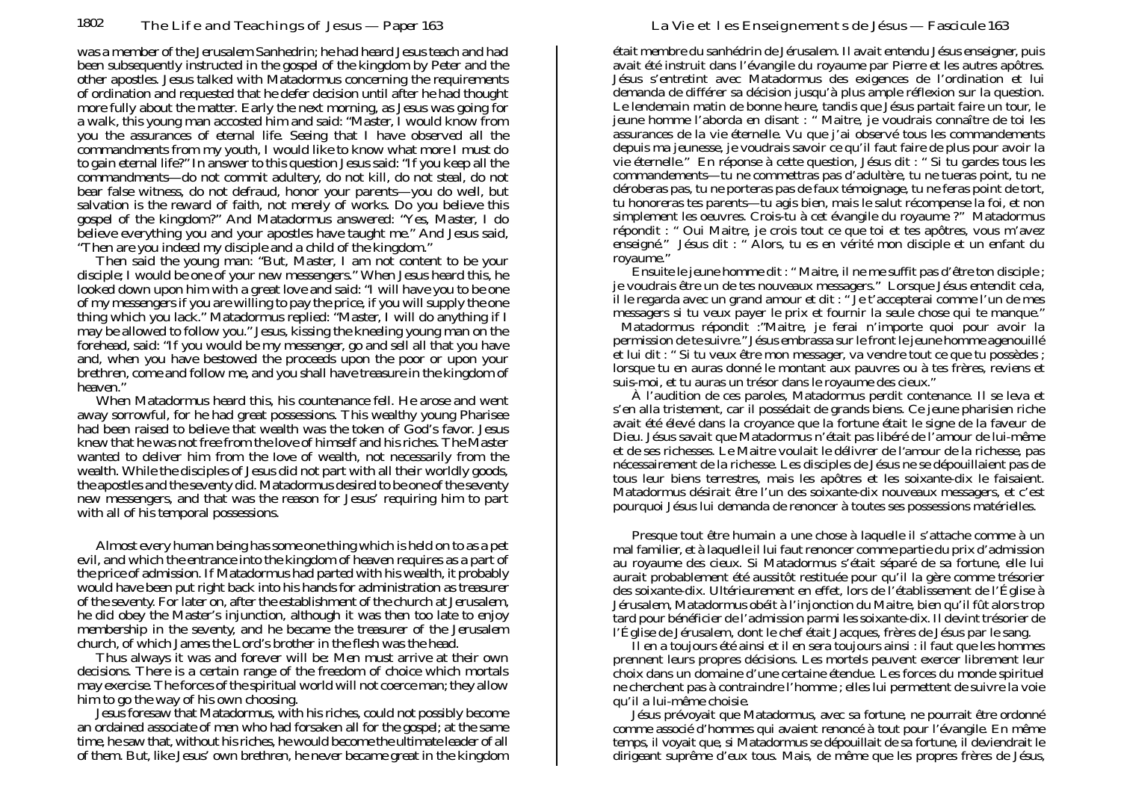was a member of the Jerusalem Sanhedrin; he had heard Jesus teach and had been subsequently instructed in the gospel of the kingdom by Peter and the other apostles. Jesus talked with Matadormus concerning the requirements of ordination and requested that he defer decision until after he had thought more fully about the matter. Early the next morning, as Jesus was going for a walk, this young man accosted him and said: "Master, I would know from you the assurances of eternal life. Seeing that I have observed all the commandments from my youth, I would like to know what more I must do to gain eternal life?" In answer to this question Jesus said: "If you keep all the commandments—do not commit adultery, do not kill, do not steal, do not bear false witness, do not defraud, honor your parents—you do well, but salvation is the reward of faith, not merely of works. Do you believe this gospel of the kingdom?" And Matadormus answered: "Yes, Master, I do believe everything you and your apostles have taught me." And Jesus said, "Then are you indeed my disciple and a child of the kingdom."

Then said the young man: "But, Master, I am not content to be your disciple; I would be one of your new messengers." When Jesus heard this, he looked down upon him with a great love and said: "I will have you to be one of my messengers if you are willing to pay the price, if you will supply the one thing which you lack." Matadormus replied: "Master, I will do anything if I may be allowed to follow you." Jesus, kissing the kneeling young man on the forehead, said: "If you would be my messenger, go and sell all that you have and, when you have bestowed the proceeds upon the poor or upon your brethren, come and follow me, and you shall have treasure in the kingdom of heaven."

When Matadormus heard this, his countenance fell. He arose and went away sorrowful, for he had great possessions. This wealthy young Pharisee had been raised to believe that wealth was the token of God's favor. Jesus knew that he was not free from the love of himself and his riches. The Master wanted to deliver him from the *love* of wealth, not necessarily from the wealth. While the disciples of Jesus did not part with all their worldly goods, the apostles and the seventy did. Matadormus desired to be one of the seventy new messengers, and that was the reason for Jesus' requiring him to part with all of his temporal possessions.

Almost every human being has some one thing which is held on to as a pet evil, and which the entrance into the kingdom of heaven requires as a part of the price of admission. If Matadormus had parted with his wealth, it probably would have been put right back into his hands for administration as treasurer of the seventy. For later on, after the establishment of the church at Jerusalem, he did obey the Master's injunction, although it was then too late to enjoy membership in the seventy, and he became the treasurer of the Jerusalem church, of which James the Lord's brother in the flesh was the head.

Thus always it was and forever will be: Men must arrive at their own decisions. There is a certain range of the freedom of choice which mortals may exercise. The forces of the spiritual world will not coerce man; they allow him to go the way of his own choosing.

Jesus foresaw that Matadormus, with his riches, could not possibly become an ordained associate of men who had forsaken all for the gospel; at the same time, he saw that, without his riches, he would become the ultimate leader of all of them. But, like Jesus' own brethren, he never became great in the kingdom était membre du sanhédrin de Jérusalem. Il avait entendu Jésus enseigner, puis avait été instruit dans l'évangile du royaume par Pierre et les autres apôtres. Jésus s'entretint avec Matadormus des exigences de l'ordination et lui demanda de différer sa décision jusqu'à plus ample réflexion sur la question. Le lendemain matin de bonne heure, tandis que Jésus partait faire un tour, le jeune homme l'aborda en disant : " Maitre, je voudrais connaître de toi les assurances de la vie éternelle. Vu que j'ai observé tous les commandements depuis ma jeunesse, je voudrais savoir ce qu'il faut faire de plus pour avoir la vie éternelle." En réponse à cette question, Jésus dit : " Si tu gardes tous les commandements—tu ne commettras pas d'adultère, tu ne tueras point, tu ne déroberas pas, tu ne porteras pas de faux témoignage, tu ne feras point de tort, tu honoreras tes parents—tu agis bien, mais le salut récompense la foi, et non simplement les oeuvres. Crois-tu à cet évangile du royaume ?" Matadormus répondit : " Oui Maitre, je crois tout ce que toi et tes apôtres, vous m'avez enseigné." Jésus dit : " Alors, tu es en vérité mon disciple et un enfant du royaume.'

Ensuite le jeune homme dit : " Maitre, il ne me suffit pas d'être ton disciple ; je voudrais être un de tes nouveaux messagers." Lorsque Jésus entendit cela, il le regarda avec un grand amour et dit : " Je t'accepterai comme l'un de mes messagers si tu veux payer le prix et fournir la seule chose qui te manque." Matadormus répondit :"Maitre, je ferai n'importe quoi pour avoir la permission de te suivre." Jésus embrassa sur le front le jeune homme agenouillé et lui dit : " Si tu veux être mon messager, va vendre tout ce que tu possèdes ; lorsque tu en auras donné le montant aux pauvres ou à tes frères, reviens et suis-moi, et tu auras un trésor dans le royaume des cieux." À l'audition de ces paroles, Matadormus perdit contenance. Il se leva et

s'en alla tristement, car il possédait de grands biens. Ce jeune pharisien riche avait été élevé dans la croyance que la fortune était le signe de la faveur de Dieu. Jésus savait que Matadormus n'était pas libéré de l'amour de lui-même et de ses richesses. Le Maitre voulait le délivrer de l*'amour* de la richesse, pas nécessairement de la richesse. Les disciples de Jésus ne se dépouillaient pas de tous leur biens terrestres, mais les apôtres et les soixante-dix le faisaient. Matadormus désirait être l'un des soixante-dix nouveaux messagers, et c'est pourquoi Jésus lui demanda de renoncer à toutes ses possessions matérielles.

Presque tout être humain a une chose à laquelle il s'attache comme à un mal familier, et à laquelle il lui faut renoncer comme partie du prix d'admission au royaume des cieux. Si Matadormus s'était séparé de sa fortune, elle lui aurait probablement été aussitôt restituée pour qu'il la gère comme trésorier des soixante-dix. Ultérieurement en effet, lors de l'établissement de l'Église à Jérusalem, Matadormus obéit à l'injonction du Maitre, bien qu'il fût alors trop tard pour bénéficier de l'admission parmi les soixante-dix. Il devint trésorier de l'Église de Jérusalem, dont le chef était Jacques, frères de Jésus par le sang.

Il en a toujours été ainsi et il en sera toujours ainsi : il faut que les hommes prennent leurs propres décisions. Les mortels peuvent exercer librement leur choix dans un domaine d'une certaine étendue. Les forces du monde spirituel ne cherchent pas à contraindre l'homme ; elles lui permettent de suivre la voie qu'il a lui-même choisie.

Jésus prévoyait que Matadormus, avec sa fortune, ne pourrait être ordonné comme associé d'hommes qui avaient renoncé à tout pour l'évangile. En même temps, il voyait que, si Matadormus se dépouillait de sa fortune, il deviendrait le dirigeant suprême d'eux tous. Mais, de même que les propres frères de Jésus,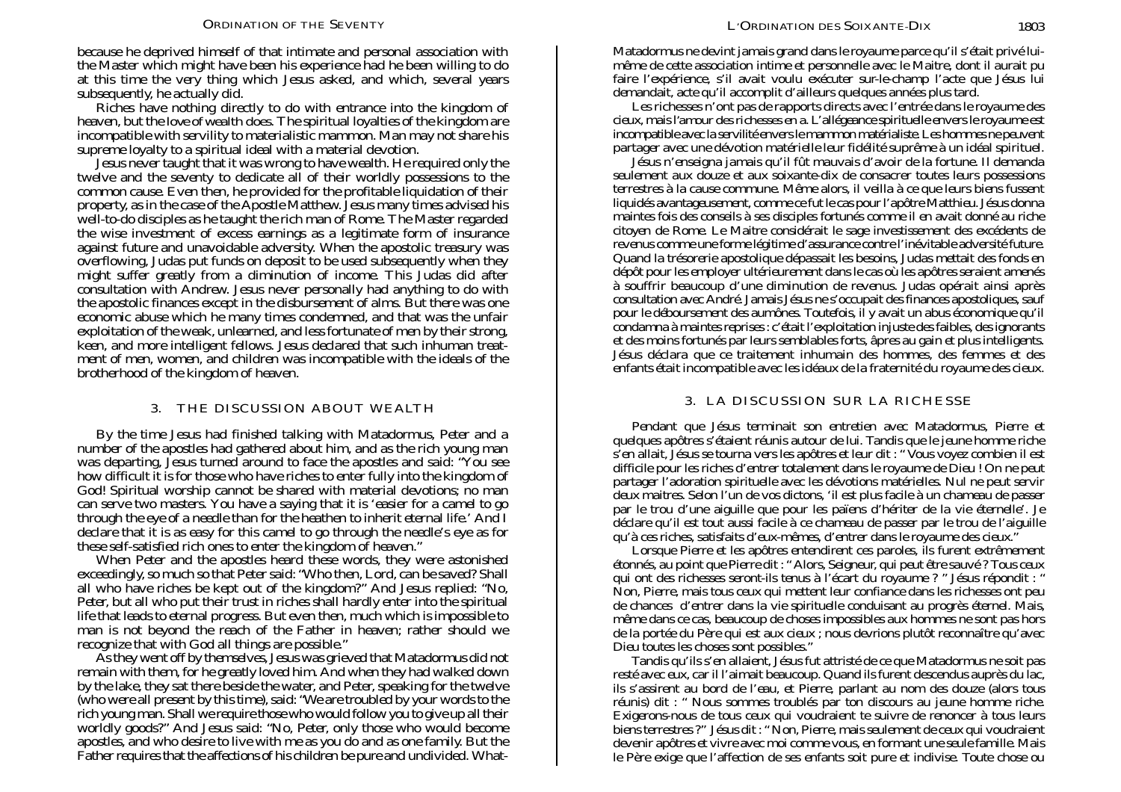because he deprived himself of that intimate and personal association with the Master which might have been his experience had he been willing to do at this time the very thing which Jesus asked, and which, several years subsequently, he actually did.

Riches have nothing directly to do with entrance into the kingdom of heaven, but the *love of wealth does*. The spiritual loyalties of the kingdom are incompatible with servility to materialistic mammon. Man may not share his supreme loyalty to a spiritual ideal with a material devotion.

Jesus never taught that it was wrong to have wealth. He required only the twelve and the seventy to dedicate all of their worldly possessions to the common cause. Even then, he provided for the profitable liquidation of their property, as in the case of the Apostle Matthew. Jesus many times advised his well-to-do disciples as he taught the rich man of Rome. The Master regarded the wise investment of excess earnings as a legitimate form of insurance against future and unavoidable adversity. When the apostolic treasury was overflowing, Judas put funds on deposit to be used subsequently when they might suffer greatly from a diminution of income. This Judas did after consultation with Andrew. Jesus never personally had anything to do with the apostolic finances except in the disbursement of alms. But there was one economic abuse which he many times condemned, and that was the unfair exploitation of the weak, unlearned, and less fortunate of men by their strong, keen, and more intelligent fellows. Jesus declared that such inhuman treatment of men, women, and children was incompatible with the ideals of the brotherhood of the kingdom of heaven.

#### 3. THE DISCUSSION ABOUT WEALTH

By the time Jesus had finished talking with Matadormus, Peter and a number of the apostles had gathered about him, and as the rich young man was departing, Jesus turned around to face the apostles and said: "You see how difficult it is for those who have riches to enter fully into the kingdom of God! Spiritual worship cannot be shared with material devotions; no man can serve two masters. You have a saying that it is 'easier for a camel to go through the eye of a needle than for the heathen to inherit eternal life.' And I declare that it is as easy for this camel to go through the needle's eye as for these self-satisfied rich ones to enter the kingdom of heaven."

When Peter and the apostles heard these words, they were astonished exceedingly, so much so that Peter said: "Who then, Lord, can be saved? Shall all who have riches be kept out of the kingdom?" And Jesus replied: "No, Peter, but all who put their trust in riches shall hardly enter into the spiritual life that leads to eternal progress. But even then, much which is impossible to man is not beyond the reach of the Father in heaven; rather should we recognize that with God all things are possible."

As they went off by themselves, Jesus was grieved that Matadormus did not remain with them, for he greatly loved him. And when they had walked down by the lake, they sat there beside the water, and Peter, speaking for the twelve (who were all present by this time), said: "We are troubled by your words to the rich young man. Shall we require those who would follow you to give up all their worldly goods?" And Jesus said: "No, Peter, only those who would become apostles, and who desire to live with me as you do and as one family. But the Father requires that the affections of his children be pure and undivided. WhatMatadormus ne devint jamais grand dans le royaume parce qu'il s'était privé luimême de cette association intime et personnelle avec le Maitre, dont il aurait pu faire l'expérience, s'il avait voulu exécuter sur-le-champ l'acte que Jésus lui demandait, acte qu'il accomplit d'ailleurs quelques années plus tard.

Les richesses n'ont pas de rapports directs avec l'entrée dans le royaume des cieux, mais l*'amour des richesses en <sup>a</sup>*. L'allégeance spirituelle envers le royaume est incompatible avec la servilité envers le mammon matérialiste. Les hommes ne peuvent partager avec une dévotion matérielle leur fidélité suprême à un idéal spirituel.

Jésus n'enseigna jamais qu'il fût mauvais d'avoir de la fortune. Il demanda seulement aux douze et aux soixante-dix de consacrer toutes leurs possessions terrestres à la cause commune. Même alors, il veilla à ce que leurs biens fussent liquidés avantageusement, comme ce fut le cas pour l'apôtre Matthieu. Jésus donna maintes fois des conseils à ses disciples fortunés comme il en avait donné au riche citoyen de Rome. Le Maitre considérait le sage investissement des excédents de revenus comme une forme légitime d'assurance contre l'inévitable adversité future. Quand la trésorerie apostolique dépassait les besoins, Judas mettait des fonds en dépôt pour les employer ultérieurement dans le cas où les apôtres seraient amenés à souffrir beaucoup d'une diminution de revenus. Judas opérait ainsi après consultation avec André. Jamais Jésus ne s'occupait des finances apostoliques, sauf pour le déboursement des aumônes. Toutefois, il y avait un abus économique qu'il condamna à maintes reprises : c'était l'exploitation injuste des faibles, des ignorants et des moins fortunés par leurs semblables forts, âpres au gain et plus intelligents. Jésus déclara que ce traitement inhumain des hommes, des femmes et des enfants était incompatible avec les idéaux de la fraternité du royaume des cieux.

#### 3. LA DISCUSSION SUR LA RICHESSE

Pendant que Jésus terminait son entretien avec Matadormus, Pierre et quelques apôtres s'étaient réunis autour de lui. Tandis que le jeune homme riche s'en allait, Jésus se tourna vers les apôtres et leur dit : " Vous voyez combien il est difficile pour les riches d'entrer totalement dans le royaume de Dieu ! On ne peut partager l'adoration spirituelle avec les dévotions matérielles. Nul ne peut servir deux maitres. Selon l'un de vos dictons, 'il est plus facile à un chameau de passer par le trou d'une aiguille que pour les païens d'hériter de la vie éternelle'. Je déclare qu'il est tout aussi facile à ce chameau de passer par le trou de l'aiguille qu'à ces riches, satisfaits d'eux-mêmes, d'entrer dans le royaume des cieux."

Lorsque Pierre et les apôtres entendirent ces paroles, ils furent extrêmement étonnés, au point que Pierre dit : " Alors, Seigneur, qui peut être sauvé ? Tous ceux qui ont des richesses seront-ils tenus à l'écart du royaume ? " Jésus répondit : " Non, Pierre, mais tous ceux qui mettent leur confiance dans les richesses ont peu de chances d'entrer dans la vie spirituelle conduisant au progrès éternel. Mais, même dans ce cas, beaucoup de choses impossibles aux hommes ne sont pas hors de la portée du Père qui est aux cieux ; nous devrions plutôt reconnaître qu'avec Dieu toutes les choses sont possibles."

Tandis qu'ils s'en allaient, Jésus fut attristé de ce que Matadormus ne soit pas resté avec eux, car il l'aimait beaucoup. Quand ils furent descendus auprès du lac, ils s'assirent au bord de l'eau, et Pierre, parlant au nom des douze (alors tous réunis) dit : " Nous sommes troublés par ton discours au jeune homme riche. Exigerons-nous de tous ceux qui voudraient te suivre de renoncer à tous leurs biens terrestres ?" Jésus dit : " Non, Pierre, mais seulement de ceux qui voudraient devenir apôtres et vivre avec moi comme vous, en formant une seule famille. Mais le Père exige que l'affection de ses enfants soit pure et indivise. Toute chose ou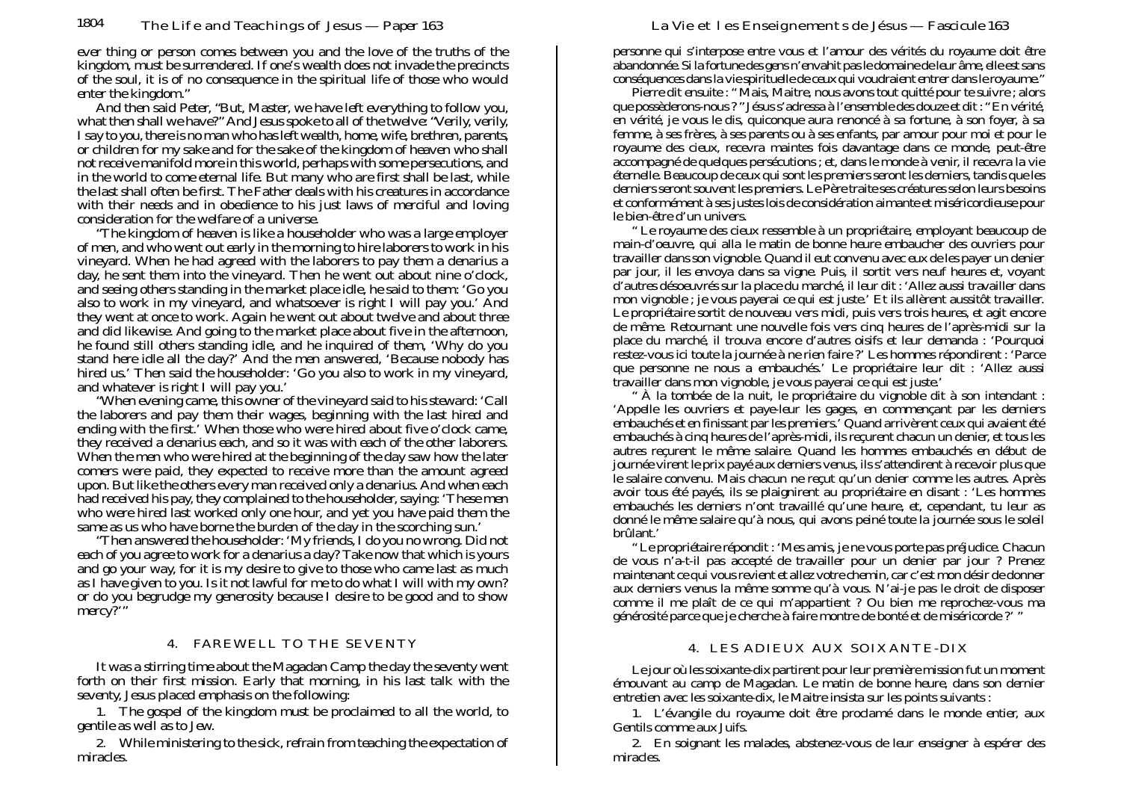ever thing or person comes between you and the love of the truths of the kingdom, must be surrendered. If one's wealth does not invade the precincts of the soul, it is of no consequence in the spiritual life of those who would enter the kingdom."

And then said Peter, "But, Master, we have left everything to follow vou, what then shall we have?" And Jesus spoke to all of the twelve: "Verily, verily, I say to you, there is no man who has left wealth, home, wife, brethren, parents, or children for my sake and for the sake of the kingdom of heaven who shall not receive manifold more in this world, perhaps with some persecutions, and in the world to come eternal life. But many who are first shall be last, while the last shall often be first. The Father deals with his creatures in accordance with their needs and in obedience to his just laws of merciful and loving consideration for the welfare of a universe.

"The kingdom of heaven is like a householder who was a large employer of men, and who went out early in the morning to hire laborers to work in his vineyard. When he had agreed with the laborers to pay them a denarius a day, he sent them into the vineyard. Then he went out about nine o'clock, and seeing others standing in the market place idle, he said to them: 'Go you also to work in my vineyard, and whatsoever is right I will pay you.' And they went at once to work. Again he went out about twelve and about three and did likewise. And going to the market place about five in the afternoon, he found still others standing idle, and he inquired of them, 'Why do you stand here idle all the day?' And the men answered, 'Because nobody has hired us.' Then said the householder: 'Go you also to work in my vineyard, and whatever is right I will pay you.'

"When evening came, this owner of the vineyard said to his steward: 'Call the laborers and pay them their wages, beginning with the last hired and ending with the first.' When those who were hired about five o'clock came, they received a denarius each, and so it was with each of the other laborers. When the men who were hired at the beginning of the day saw how the later comers were paid, they expected to receive more than the amount agreed upon. But like the others every man received only a denarius. And when each had received his pay, they complained to the householder, saying: 'These men who were hired last worked only one hour, and yet you have paid them the same as us who have borne the burden of the day in the scorching sun.'

"Then answered the householder: 'My friends, I do you no wrong. Did not each of you agree to work for a denarius a day? Take now that which is yours and go your way, for it is my desire to give to those who came last as much as I have given to you. Is it not lawful for me to do what I will with my own? or do you begrudge my generosity because I desire to be good and to show mercy?'"

#### 4. FAREWELL TO THE SEVENTY

It was a stirring time about the Magadan Camp the day the seventy went forth on their first mission. Early that morning, in his last talk with the seventy, Jesus placed emphasis on the following:

1. The gospel of the kingdom must be proclaimed to all the world, to gentile as well as to Jew.

2. While ministering to the sick, refrain from teaching the expectation of miracles.

personne qui s'interpose entre vous et l'amour des vérités du royaume doit être abandonnée. Si la fortune des gens n'envahit pas le domaine de leur âme, elle est sans conséquences dans la vie spirituelle de ceux qui voudraient entrer dans le royaume."

Pierre dit ensuite : " Mais, Maitre, nous avons tout quitté pour te suivre ; alors que possèderons-nous ? " Jésus s'adressa à l'ensemble des douze et dit : " En vérité, en vérité, je vous le dis, quiconque aura renoncé à sa fortune, à son foyer, à sa femme, à ses frères, à ses parents ou à ses enfants, par amour pour moi et pour le royaume des cieux, recevra maintes fois davantage dans ce monde, peut-être accompagné de quelques persécutions ; et, dans le monde à venir, il recevra la vie éternelle. Beaucoup de ceux qui sont les premiers seront les derniers, tandis que les derniers seront souvent les premiers. Le Père traite ses créatures selon leurs besoins et conformément à ses justes lois de considération aimante et miséricordieuse pour le bien-être d'un univers.

" Le royaume des cieux ressemble à un propriétaire, employant beaucoup de main-d'oeuvre, qui alla le matin de bonne heure embaucher des ouvriers pour travailler dans son vignoble. Quand il eut convenu avec eux de les payer un denier par jour, il les envoya dans sa vigne. Puis, il sortit vers neuf heures et, voyant d'autres désoeuvrés sur la place du marché, il leur dit : 'Allez aussi travailler dans mon vignoble ; je vous payerai ce qui est juste.' Et ils allèrent aussitôt travailler. Le propriétaire sortit de nouveau vers midi, puis vers trois heures, et agit encore de même. Retournant une nouvelle fois vers cinq heures de l'après-midi sur la place du marché, il trouva encore d'autres oisifs et leur demanda : 'Pourquoi restez-vous ici toute la journée à ne rien faire ?' Les hommes répondirent : 'Parce que personne ne nous a embauchés.' Le propriétaire leur dit : 'Allez aussi

travailler dans mon vignoble, je vous payerai ce qui est juste.' " À la tombée de la nuit, le propriétaire du vignoble dit à son intendant : 'Appelle les ouvriers et paye-leur les gages, en commençant par les derniers embauchés et en finissant par les premiers.' Quand arrivèrent ceux qui avaient été embauchés à cinq heures de l'après-midi, ils reçurent chacun un denier, et tous les autres reçurent le même salaire. Quand les hommes embauchés en début de journée virent le prix payé aux derniers venus, ils s'attendirent à recevoir plus que le salaire convenu. Mais chacun ne reçut qu'un denier comme les autres. Après avoir tous été payés, ils se plaignirent au propriétaire en disant : 'Les hommes embauchés les derniers n'ont travaillé qu'une heure, et, cependant, tu leur as donné le même salaire qu'à nous, qui avons peiné toute la journée sous le soleil brûlant.'

" Le propriétaire répondit : 'Mes amis, je ne vous porte pas préjudice. Chacun de vous n'a-t-il pas accepté de travailler pour un denier par jour ? Prenez maintenant ce qui vous revient et allez votre chemin, car c'est mon désir de donner aux derniers venus la même somme qu'à vous. N'ai-je pas le droit de disposer comme il me plaît de ce qui m'appartient ? Ou bien me reprochez-vous ma générosité parce que je cherche à faire montre de bonté et de miséricorde ?' "

# 4. LES ADIEUX AUX SOIXANTE-DIX

Le jour où les soixante-dix partirent pour leur première mission fut un moment émouvant au camp de Magadan. Le matin de bonne heure, dans son dernier entretien avec les soixante-dix, le Maitre insista sur les points suivants :

1. L'évangile du royaume doit être proclamé dans le monde entier, aux Gentils comme aux Juifs.

2. En soignant les malades, abstenez-vous de leur enseigner à espérer des miracles.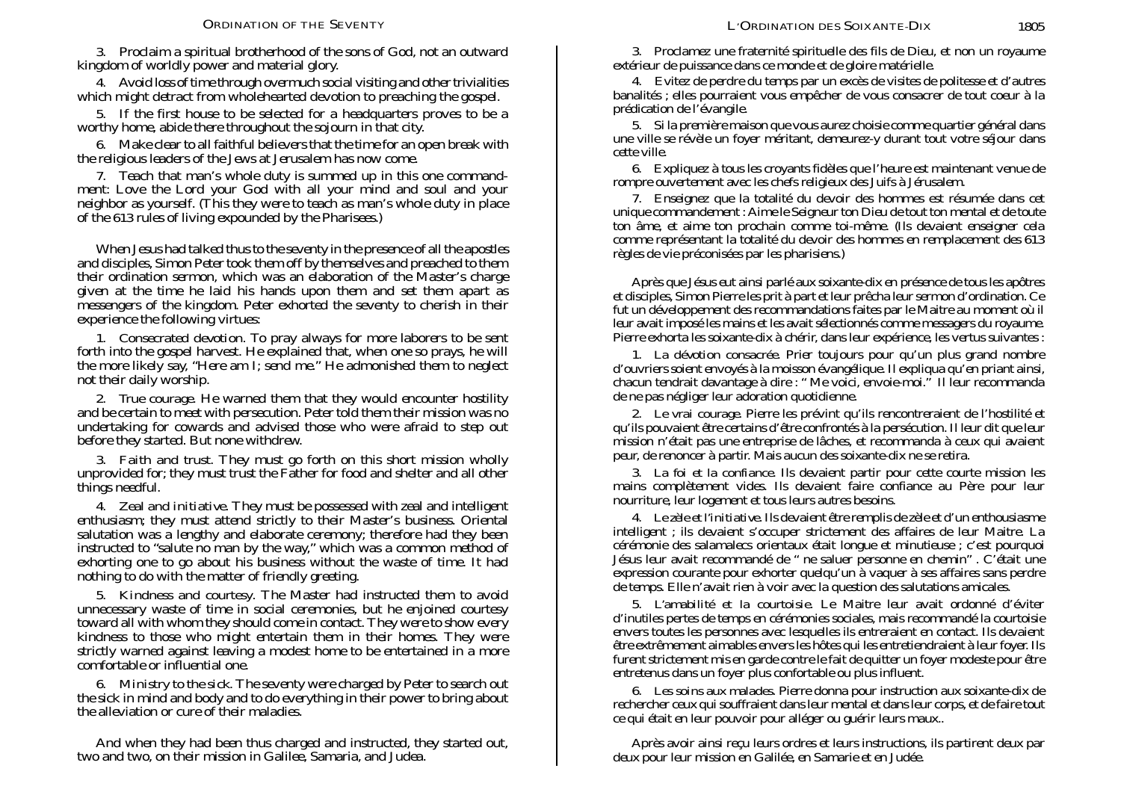3. Proclaim a spiritual brotherhood of the sons of God, not an outward kingdom of worldly power and material glory.

4. Avoid loss of time through overmuch social visiting and other trivialities which might detract from wholehearted devotion to preaching the gospel.

5. If the first house to be selected for a headquarters proves to be a worthy home, abide there throughout the sojourn in that city.

6. Make clear to all faithful believers that the time for an open break with the religious leaders of the Jews at Jerusalem has now come.

7. Teach that man's whole duty is summed up in this one commandmeighbor as your self. (This they were to teach as man's whole duty in place of the 613 rules of living expounded by the Pharisees.)

When Jesus had talked thus to the seventy in the presence of all the apostles and disciples, Simon Peter took them off by themselves and preached to them their ordination sermon, which was an elaboration of the Master's charge given at the time he laid his hands upon them and set them apart as messengers of the kingdom. Peter exhorted the seventy to cherish in their experience the following virtues:

1. *Consecrated devotion.* To pray always for more laborers to be sent forth into the gospel harvest. He explained that, when one so prays, he will the more likely say, "Here am I; send me." He admonished them to neglect not their daily worship.

2. *True courage.* He warned them that they would encounter hostility and be certain to meet with persecution. Peter told them their mission was no undertaking for cowards and advised those who were afraid to step out before they started. But none withdrew.

3. *Faith and trust.* They must go forth on this short mission wholly unprovided for; they must trust the Father for food and shelter and all other things needful.

4. *Zeal and initiative.* They must be possessed with zeal and intelligent enthusiasm; they must attend strictly to their Master's business. Oriental salutation was a lengthy and elaborate ceremony; therefore had they been instructed to "salute no man by the way," which was a common method of exhorting one to go about his business without the waste of time. It had nothing to do with the matter of friendly greeting.

5. *Kindness and courtesy.* The Master had instructed them to avoid unnecessary waste of time in social ceremonies, but he enjoined courtesy toward all with whom they should come in contact. They were to show every kindness to those who might entertain them in their homes. They were strictly warned against leaving a modest home to be entertained in a more comfortable or influential one.

6. *Ministry to the sick.* The seventy were charged by Peter to search out the sick in mind and body and to do everything in their power to bring about the alleviation or cure of their maladies.

And when they had been thus charged and instructed, they started out, two and two, on their mission in Galilee, Samaria, and Judea.

3. Proclamez une fraternité spirituelle des fils de Dieu, et non un royaume extérieur de puissance dans ce monde et de gloire matérielle.

4. Evitez de perdre du temps par un excès de visites de politesse et d'autres banalités ; elles pourraient vous empêcher de vous consacrer de tout coeur à la prédication de l'évangile.

5. Si la première maison que vous aurez choisie comme quartier général dans une ville se révèle un foyer méritant, demeurez-y durant tout votre séjour dans cette ville.

6. Expliquez à tous les croyants fidèles que l'heure est maintenant venue de rompre ouvertement avec les chefs religieux des Juifs à Jérusalem.

7. Enseignez que la totalité du devoir des hommes est résumée dans cet unique commandement : Aime le Seigneur ton Dieu de tout ton mental et de toute ton âme, et aime ton prochain comme toi-même. (Ils devaient enseigner cela comme représentant la totalité du devoir des hommes en remplacement des 613 règles de vie préconisées par les pharisiens.)

Après que Jésus eut ainsi parlé aux soixante-dix en présence de tous les apôtres et disciples, Simon Pierre les prit à part et leur prêcha leur sermon d'ordination. Ce fut un développement des recommandations faites par le Maitre au moment où il leur avait imposé les mains et les avait sélectionnés comme messagers du royaume. Pierre exhorta les soixante-dix à chérir, dans leur expérience, les vertus suivantes :

1. *La dévotion consacrée*. Prier toujours pour qu'un plus grand nombre d'ouvriers soient envoyés à la moisson évangélique. Il expliqua qu'en priant ainsi, chacun tendrait davantage à dire : " Me voici, envoie-moi." Il leur recommanda de ne pas négliger leur adoration quotidienne.

2. *Le vrai courage*. Pierre les prévint qu'ils rencontreraient de l'hostilité et qu'ils pouvaient être certains d'être confrontés à la persécution. Il leur dit que leur mission n'était pas une entreprise de lâches, et recommanda à ceux qui avaient peur, de renoncer à partir. Mais aucun des soixante-dix ne se retira.

3. *La foi et la confiance*. Ils devaient partir pour cette courte mission les mains complètement vides. Ils devaient faire confiance au Père pour leur nourriture, leur logement et tous leurs autres besoins.

4. *Le zèle et l'initiative*. Ils devaient être remplis de zèle et d'un enthousiasme intelligent ; ils devaient s'occuper strictement des affaires de leur Maitre. La cérémonie des salamalecs orientaux était longue et minutieuse ; c'est pourquoi Jésus leur avait recommandé de " ne saluer personne en chemin" . C'était une expression courante pour exhorter quelqu'un à vaquer à ses affaires sans perdre de temps. Elle n'avait rien à voir avec la question des salutations amicales.

5. *L'amabilité et la courtoisie*. Le Maitre leur avait ordonné d'éviter d'inutiles pertes de temps en cérémonies sociales, mais recommandé la courtoisie envers toutes les personnes avec lesquelles ils entreraient en contact. Ils devaient être extrêmement aimables envers les hôtes qui les entretiendraient à leur foyer. Ils furent strictement mis en garde contre le fait de quitter un foyer modeste pour être entretenus dans un foyer plus confortable ou plus influent.

6. *Les soins aux malades*. Pierre donna pour instruction aux soixante-dix de rechercher ceux qui souffraient dans leur mental et dans leur corps, et de faire tout ce qui était en leur pouvoir pour alléger ou guérir leurs maux..

Après avoir ainsi reçu leurs ordres et leurs instructions, ils partirent deux par deux pour leur mission en Galilée, en Samarie et en Judée.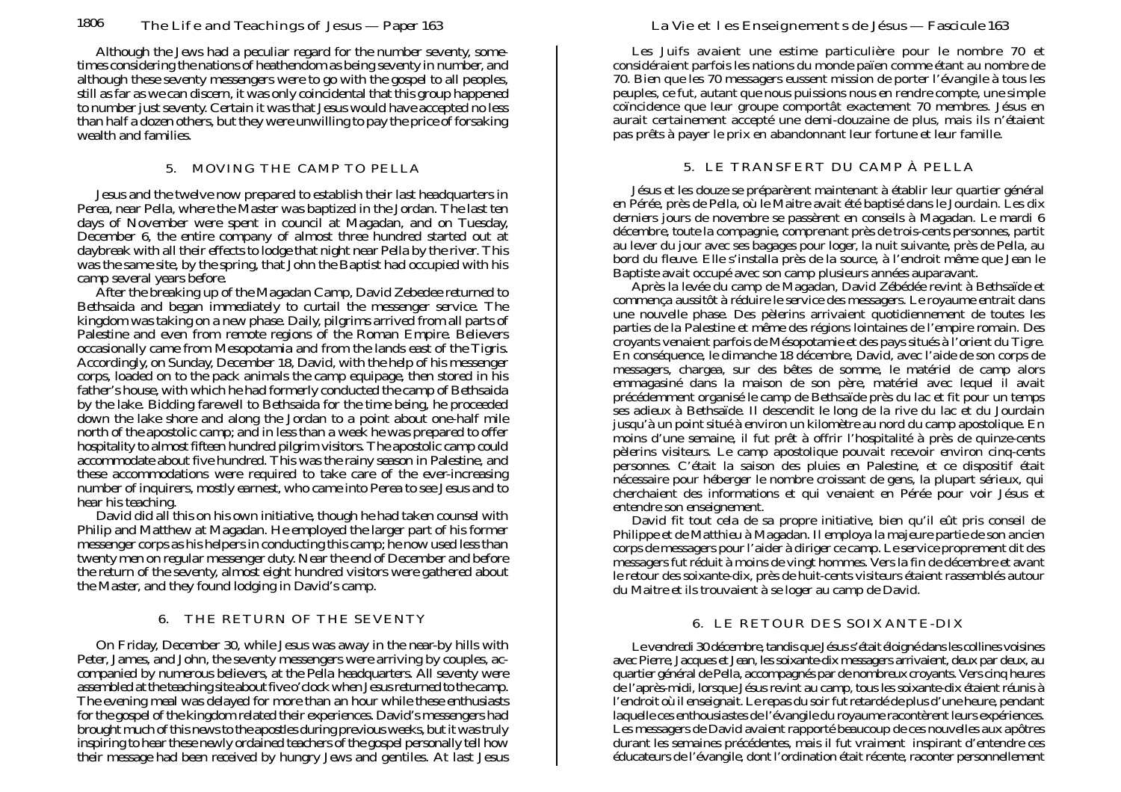Although the Jews had a peculiar regard for the number seventy, sometimes considering the nations of heathendom as being seventy in number, and although these seventy messengers were to go with the gospel to all peoples, still as far as we can discern, it was only coincidental that this group happened to number just seventy. Certain it was that Jesus would have accepted no less than half a dozen others, but they were unwilling to pay the price of forsaking wealth and families.

## 5. MOVING THE CAMP TO PELLA

Jesus and the twelve now prepared to establish their last headquarters in Perea, near Pella, where the Master was baptized in the Jordan. The last ten days of November were spent in council at Magadan, and on Tuesday, December 6, the entire company of almost three hundred started out at daybreak with all their effects to lodge that night near Pella by the river. This was the same site, by the spring, that John the Baptist had occupied with his camp several years before.

After the breaking up of the Magadan Camp, David Zebedee returned to Bethsaida and began immediately to curtail the messenger service. The kingdom was taking on a new phase. Daily, pilgrims arrived from all parts of Palestine and even from remote regions of the Roman Empire. Believers occasionally came from Mesopotamia and from the lands east of the Tigris. Accordingly, on Sunday, December 18, David, with the help of his messenger corps, loaded on to the pack animals the camp equipage, then stored in his father's house, with which he had formerly conducted the camp of Bethsaida by the lake. Bidding farewell to Bethsaida for the time being, he proceeded down the lake shore and along the Jordan to a point about one-half mile north of the apostolic camp; and in less than a week he was prepared to offer hospitality to almost fifteen hundred pilgrim visitors. The apostolic camp could accommodate about five hundred. This was the rainy season in Palestine, and these accommodations were required to take care of the ever-increasing number of inquirers, mostly earnest, who came into Perea to see Jesus and to hear his teaching.

David did all this on his own initiative, though he had taken counsel with Philip and Matthew at Magadan. He employed the larger part of his former messenger corps as his helpers in conducting this camp; he now used less than twenty men on regular messenger duty. Near the end of December and before the return of the seventy, almost eight hundred visitors were gathered about the Master, and they found lodging in David's camp.

### 6. THE RETURN OF THE SEVENTY

On Friday, December 30, while Jesus was away in the near-by hills with Peter, James, and John, the seventy messengers were arriving by couples, accompanied by numerous believers, at the Pella headquarters. All seventy were assembled at the teaching site about five o'clock when Jesus returned to the camp. The evening meal was delayed for more than an hour while these enthusiasts for the gospel of the kingdom related their experiences. David's messengers had brought much of this news to the apostles during previous weeks, but it was truly inspiring to hear these newly ordained teachers of the gospel personally tell how their message had been received by hungry Jews and gentiles. At last Jesus

Les Juifs avaient une estime particulière pour le nombre 70 et considéraient parfois les nations du monde païen comme étant au nombre de 70. Bien que les 70 messagers eussent mission de porter l'évangile à tous les peuples, ce fut, autant que nous puissions nous en rendre compte, une simple coïncidence que leur groupe comportât exactement 70 membres. Jésus en aurait certainement accepté une demi-douzaine de plus, mais ils n'étaient pas prêts à payer le prix en abandonnant leur fortune et leur famille.

#### 5. LE TRANSFERT DU CAMP À PELLA

Jésus et les douze se préparèrent maintenant à établir leur quartier général en Pérée, près de Pella, où le Maitre avait été baptisé dans le Jourdain. Les dix derniers jours de novembre se passèrent en conseils à Magadan. Le mardi 6 décembre, toute la compagnie, comprenant près de trois-cents personnes, partit au lever du jour avec ses bagages pour loger, la nuit suivante, près de Pella, au bord du fleuve. Elle s'installa près de la source, à l'endroit même que Jean le Baptiste avait occupé avec son camp plusieurs années auparavant.

Après la levée du camp de Magadan, David Zébédée revint à Bethsaïde et commença aussitôt à réduire le service des messagers. Le royaume entrait dans une nouvelle phase. Des pèlerins arrivaient quotidiennement de toutes les parties de la Palestine et même des régions lointaines de l'empire romain. Des croyants venaient parfois de Mésopotamie et des pays situés à l'orient du Tigre. En conséquence, le dimanche 18 décembre, David, avec l'aide de son corps de messagers, chargea, sur des bêtes de somme, le matériel de camp alors emmagasiné dans la maison de son père, matériel avec lequel il avait précédemment organisé le camp de Bethsaïde près du lac et fit pour un temps ses adieux à Bethsaïde. Il descendit le long de la rive du lac et du Jourdain jusqu'à un point situé à environ un kilomètre au nord du camp apostolique. En moins d'une semaine, il fut prêt à offrir l'hospitalité à près de quinze-cents pèlerins visiteurs. Le camp apostolique pouvait recevoir environ cinq-cents personnes. C'était la saison des pluies en Palestine, et ce dispositif était nécessaire pour héberger le nombre croissant de gens, la plupart sérieux, qui cherchaient des informations et qui venaient en Pérée pour voir Jésus et entendre son enseignement.

David fit tout cela de sa propre initiative, bien qu'il eût pris conseil de Philippe et de Matthieu à Magadan. Il employa la majeure partie de son ancien corps de messagers pour l'aider à diriger ce camp. Le service proprement dit des messagers fut réduit à moins de vingt hommes. Vers la fin de décembre et avant le retour des soixante-dix, près de huit-cents visiteurs étaient rassemblés autour du Maitre et ils trouvaient à se loger au camp de David.

### 6. LE RETOUR DES SOIXANTE-DIX

Le vendredi 30 décembre, tandis que Jésus s'était éloigné dans les collines voisines avec Pierre, Jacques et Jean, les soixante-dix messagers arrivaient, deux par deux, au quartier général de Pella, accompagnés par de nombreux croyants. Vers cinq heures de l'après-midi, lorsque Jésus revint au camp, tous les soixante-dix étaient réunis à l'endroit où il enseignait. Le repas du soir fut retardé de plus d'une heure, pendant laquelle ces enthousiastes de l'évangile du royaume racontèrent leurs expériences. Les messagers de David avaient rapporté beaucoup de ces nouvelles aux apôtres durant les semaines précédentes, mais il fut vraiment inspirant d'entendre ces éducateurs de l'évangile, dont l'ordination était récente, raconter personnellement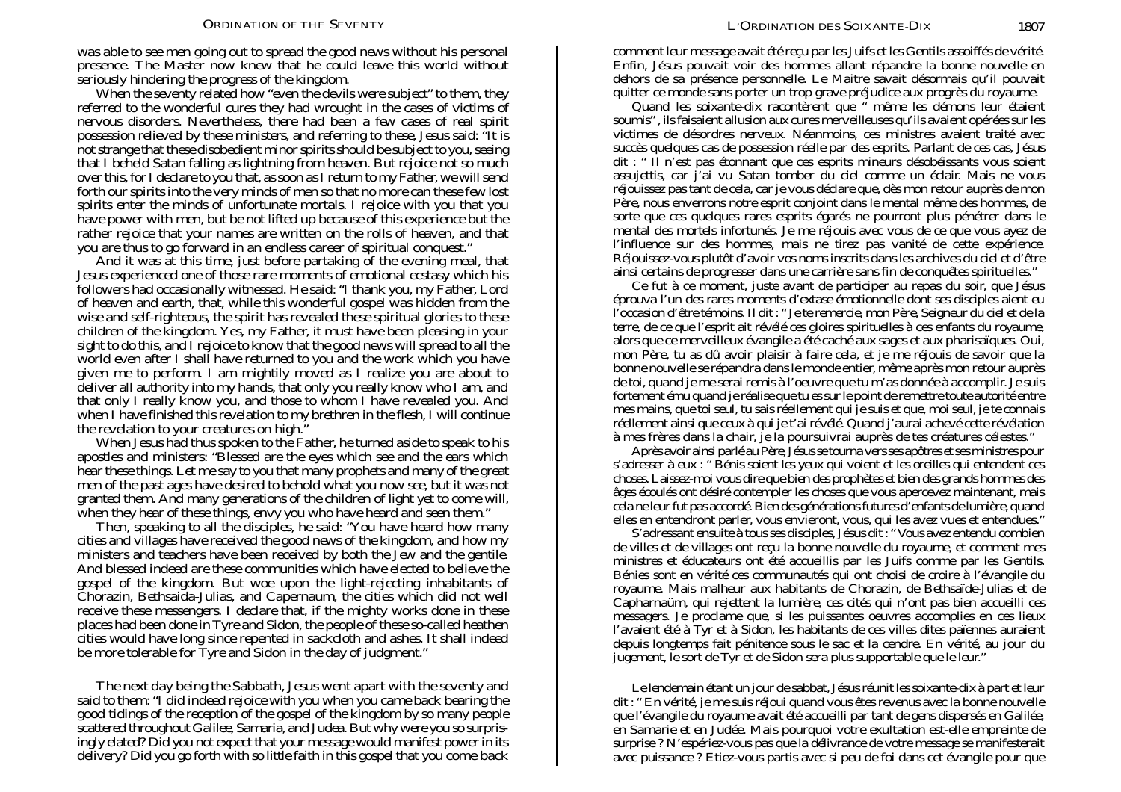was able to see men going out to spread the good news without his personal presence. The Master now knew that he could leave this world without seriously hindering the progress of the kingdom.

When the seventy related how "even the devils were subject" to them, they referred to the wonderful cures they had wrought in the cases of victims of nervous disorders. Nevertheless, there had been a few cases of real spirit possession relieved by these ministers, and referring to these, Jesus said: "It is not strange that these disobedient minor spirits should be subject to you, seeing that I beheld Satan falling as lightning from heaven. But rejoice not so much over this, for I declare to you that, as soon as I return to my Father, we will send forth our spirits into the very minds of men so that no more can these few lost spirits enter the minds of unfortunate mortals. I rejoice with you that you have power with men, but be not lifted up because of this experience but the rather rejoice that your names are written on the rolls of heaven, and that you are thus to go forward in an endless career of spiritual conquest."

And it was at this time, just before partaking of the evening meal, that Jesus experienced one of those rare moments of emotional ecstasy which his followers had occasionally witnessed. He said: "I thank you, my Father, Lord of heaven and earth, that, while this wonderful gospel was hidden from the wise and self-righteous, the spirit has revealed these spiritual glories to these children of the kingdom. Yes, my Father, it must have been pleasing in your sight to do this, and I rejoice to know that the good news will spread to all the world even after I shall have returned to you and the work which you have given me to perform. I am mightily moved as I realize you are about to deliver all authority into my hands, that only you really know who I am, and that only I really know you, and those to whom I have revealed you. And when I have finished this revelation to my brethren in the flesh, I will continue the revelation to your creatures on high."

When Jesus had thus spoken to the Father, he turned aside to speak to his apostles and ministers: "Blessed are the eyes which see and the ears which hear these things. Let me say to you that many prophets and many of the great men of the past ages have desired to behold what you now see, but it was not granted them. And many generations of the children of light yet to come will, when they hear of these things, envy you who have heard and seen them."

Then, speaking to all the disciples, he said: "You have heard how many cities and villages have received the good news of the kingdom, and how my ministers and teachers have been received by both the Jew and the gentile. And blessed indeed are these communities which have elected to believe the gospel of the kingdom. But woe upon the light-rejecting inhabitants of Chorazin, Bethsaida-Julias, and Capernaum, the cities which did not well receive these messengers. I declare that, if the mighty works done in these places had been done in Tyre and Sidon, the people of these so-called heathen cities would have long since repented in sackcloth and ashes. It shall indeed be more tolerable for Tyre and Sidon in the day of judgment."

The next day being the Sabbath, Jesus went apart with the seventy and said to them: "I did indeed rejoice with you when you came back bearing the good tidings of the reception of the gospel of the kingdom by so many people scattered throughout Galilee, Samaria, and Judea. But why were you so surprisingly elated? Did you not expect that your message would manifest power in its delivery? Did you go forth with so little faith in this gospel that you come back

comment leur message avait été reçu par les Juifs et les Gentils assoiffés de vérité. Enfin, Jésus pouvait voir des hommes allant répandre la bonne nouvelle en dehors de sa présence personnelle. Le Maitre savait désormais qu'il pouvait quitter ce monde sans porter un trop grave préjudice aux progrès du royaume.

Quand les soixante-dix racontèrent que " même les démons leur étaient soumis" , ils faisaient allusion aux cures merveilleuses qu'ils avaient opérées sur les victimes de désordres nerveux. Néanmoins, ces ministres avaient traité avec succès quelques cas de possession réelle par des esprits. Parlant de ces cas, Jésus dit : " Il n'est pas étonnant que ces esprits mineurs désobéissants vous soient assujettis, car j'ai vu Satan tomber du ciel comme un éclair. Mais ne vous réjouissez pas tant de cela, car je vous déclare que, dès mon retour auprès de mon Père, nous enverrons notre esprit conjoint dans le mental même des hommes, de sorte que ces quelques rares esprits égarés ne pourront plus pénétrer dans le mental des mortels infortunés. Je me réjouis avec vous de ce que vous ayez de l'influence sur des hommes, mais ne tirez pas vanité de cette expérience. Réjouissez-vous plutôt d'avoir vos noms inscrits dans les archives du ciel et d'être ainsi certains de progresser dans une carrière sans fin de conquêtes spirituelles."

Ce fut à ce moment, juste avant de participer au repas du soir, que Jésus éprouva l'un des rares moments d'extase émotionnelle dont ses disciples aient eu l'occasion d'être témoins. Il dit : " Je te remercie, mon Père, Seigneur du ciel et de la terre, de ce que l'esprit ait révélé ces gloires spirituelles à ces enfants du royaume, alors que ce merveilleux évangile a été caché aux sages et aux pharisaïques. Oui, mon Père, tu as dû avoir plaisir à faire cela, et je me réjouis de savoir que la bonne nouvelle se répandra dans le monde entier, même après mon retour auprès de toi, quand je me serai remis à l'oeuvre que tu m'as donnée à accomplir. Je suis fortement ému quand je réalise que tu es sur le point de remettre toute autorité entre mes mains, que toi seul, tu sais réellement qui je suis et que, moi seul, je te connais réellement ainsi que ceux à qui je t'ai révélé. Quand j'aurai achevé cette révélation à mes frères dans la chair, je la poursuivrai auprès de tes créatures célestes."

Après avoir ainsi parlé au Père, Jésus se tourna vers ses apôtres et ses ministres pour s'adresser à eux : " Bénis soient les yeux qui voient et les oreilles qui entendent ces choses. Laissez-moi vous dire que bien des prophètes et bien des grands hommes des âges écoulés ont désiré contempler les choses que vous apercevez maintenant, mais cela ne leur fut pas accordé. Bien des générations futures d'enfants de lumière, quand elles en entendront parler, vous envieront, vous, qui les avez vues et entendues."

S'adressant ensuite à tous ses disciples, Jésus dit : " Vous avez entendu combien de villes et de villages ont reçu la bonne nouvelle du royaume, et comment mes ministres et éducateurs ont été accueillis par les Juifs comme par les Gentils. Bénies sont en vérité ces communautés qui ont choisi de croire à l'évangile du royaume. Mais malheur aux habitants de Chorazin, de Bethsaïde-Julias et de Capharnaüm, qui rejettent la lumière, ces cités qui n'ont pas bien accueilli ces messagers. Je proclame que, si les puissantes oeuvres accomplies en ces lieux l'avaient été à Tyr et à Sidon, les habitants de ces villes dites païennes auraient depuis longtemps fait pénitence sous le sac et la cendre. En vérité, au jour du jugement, le sort de Tyr et de Sidon sera plus supportable que le leur."

Le lendemain étant un jour de sabbat, Jésus réunit les soixante-dix à part et leur dit : " En vérité, je me suis réjoui quand vous êtes revenus avec la bonne nouvelle que l'évangile du royaume avait été accueilli par tant de gens dispersés en Galilée, en Samarie et en Judée. Mais pourquoi votre exultation est-elle empreinte de surprise ? N'espériez-vous pas que la délivrance de votre message se manifesterait avec puissance ? Etiez-vous partis avec si peu de foi dans cet évangile pour que